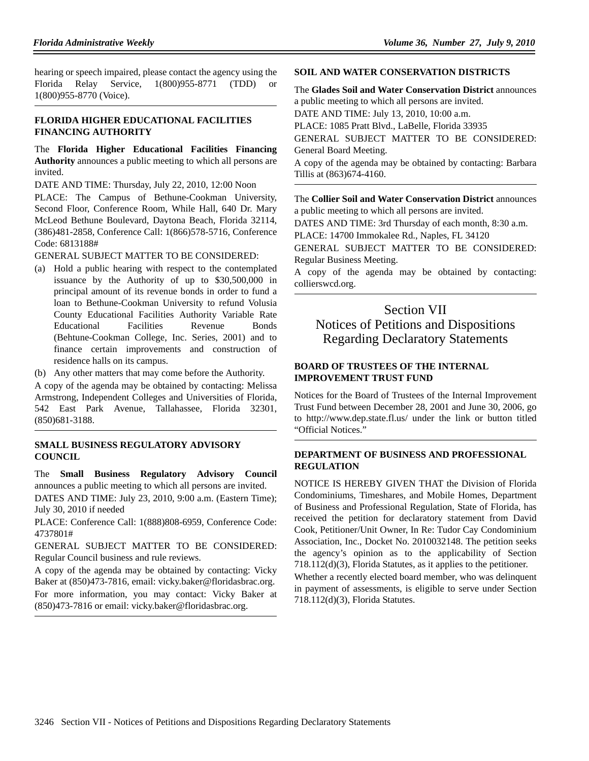hearing or speech impaired, please contact the agency using the Florida Relay Service, 1(800)955-8771 (TDD) or 1(800)955-8770 (Voice).

## **FLORIDA HIGHER EDUCATIONAL FACILITIES FINANCING AUTHORITY**

The **Florida Higher Educational Facilities Financing Authority** announces a public meeting to which all persons are invited.

DATE AND TIME: Thursday, July 22, 2010, 12:00 Noon

PLACE: The Campus of Bethune-Cookman University, Second Floor, Conference Room, While Hall, 640 Dr. Mary McLeod Bethune Boulevard, Daytona Beach, Florida 32114, (386)481-2858, Conference Call: 1(866)578-5716, Conference Code: 6813188#

GENERAL SUBJECT MATTER TO BE CONSIDERED:

- (a) Hold a public hearing with respect to the contemplated issuance by the Authority of up to \$30,500,000 in principal amount of its revenue bonds in order to fund a loan to Bethune-Cookman University to refund Volusia County Educational Facilities Authority Variable Rate Educational Facilities Revenue Bonds (Behtune-Cookman College, Inc. Series, 2001) and to finance certain improvements and construction of residence halls on its campus.
- (b) Any other matters that may come before the Authority.

A copy of the agenda may be obtained by contacting: Melissa Armstrong, Independent Colleges and Universities of Florida, 542 East Park Avenue, Tallahassee, Florida 32301, (850)681-3188.

## **SMALL BUSINESS REGULATORY ADVISORY COUNCIL**

The **Small Business Regulatory Advisory Council** announces a public meeting to which all persons are invited.

DATES AND TIME: July 23, 2010, 9:00 a.m. (Eastern Time); July 30, 2010 if needed

PLACE: Conference Call: 1(888)808-6959, Conference Code: 4737801#

GENERAL SUBJECT MATTER TO BE CONSIDERED: Regular Council business and rule reviews.

A copy of the agenda may be obtained by contacting: Vicky Baker at (850)473-7816, email: vicky.baker@floridasbrac.org. For more information, you may contact: Vicky Baker at (850)473-7816 or email: vicky.baker@floridasbrac.org.

#### **SOIL AND WATER CONSERVATION DISTRICTS**

The **Glades Soil and Water Conservation District** announces a public meeting to which all persons are invited. DATE AND TIME: July 13, 2010, 10:00 a.m. PLACE: 1085 Pratt Blvd., LaBelle, Florida 33935

GENERAL SUBJECT MATTER TO BE CONSIDERED: General Board Meeting.

A copy of the agenda may be obtained by contacting: Barbara Tillis at (863)674-4160.

The **Collier Soil and Water Conservation District** announces a public meeting to which all persons are invited.

DATES AND TIME: 3rd Thursday of each month, 8:30 a.m.

PLACE: 14700 Immokalee Rd., Naples, FL 34120

GENERAL SUBJECT MATTER TO BE CONSIDERED: Regular Business Meeting.

A copy of the agenda may be obtained by contacting: collierswcd.org.

# Section VII Notices of Petitions and Dispositions Regarding Declaratory Statements

## **BOARD OF TRUSTEES OF THE INTERNAL IMPROVEMENT TRUST FUND**

Notices for the Board of Trustees of the Internal Improvement Trust Fund between December 28, 2001 and June 30, 2006, go to http://www.dep.state.fl.us/ under the link or button titled "Official Notices."

## **DEPARTMENT OF BUSINESS AND PROFESSIONAL REGULATION**

NOTICE IS HEREBY GIVEN THAT the Division of Florida Condominiums, Timeshares, and Mobile Homes, Department of Business and Professional Regulation, State of Florida, has received the petition for declaratory statement from David Cook, Petitioner/Unit Owner, In Re: Tudor Cay Condominium Association, Inc., Docket No. 2010032148. The petition seeks the agency's opinion as to the applicability of Section 718.112(d)(3), Florida Statutes, as it applies to the petitioner. Whether a recently elected board member, who was delinquent

in payment of assessments, is eligible to serve under Section 718.112(d)(3), Florida Statutes.